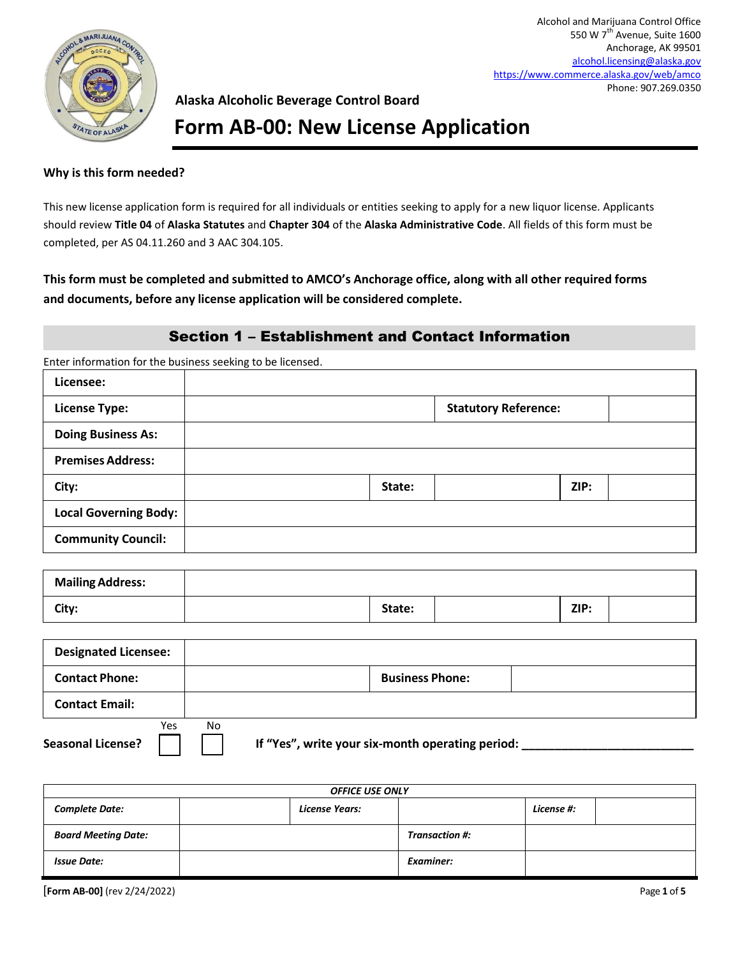

## **Form AB-00: New License Application**

#### **Why is this form needed?**

This new license application form is required for all individuals or entities seeking to apply for a new liquor license. Applicants should review **Title 04** of **Alaska Statutes** and **Chapter 304** of the **Alaska Administrative Code**. All fields of this form must be completed, per AS 04.11.260 and 3 AAC 304.105.

**This form must be completed and submitted to AMCO's Anchorage office, along with all other required forms and documents, before any license application will be considered complete.** 

### Section 1 – Establishment and Contact Information

Enter information for the business seeking to be licensed.

| Licensee:                    |        |                             |  |
|------------------------------|--------|-----------------------------|--|
| <b>License Type:</b>         |        | <b>Statutory Reference:</b> |  |
| <b>Doing Business As:</b>    |        |                             |  |
| <b>Premises Address:</b>     |        |                             |  |
| City:                        | State: | ZIP:                        |  |
| <b>Local Governing Body:</b> |        |                             |  |
| <b>Community Council:</b>    |        |                             |  |

| <b>Mailing Address:</b> |        |      |  |
|-------------------------|--------|------|--|
| City:                   | State: | ZIP: |  |

| <b>Designated Licensee:</b>     |                                                        |  |
|---------------------------------|--------------------------------------------------------|--|
| <b>Contact Phone:</b>           | <b>Business Phone:</b>                                 |  |
| <b>Contact Email:</b>           |                                                        |  |
| Yes<br><b>Seasonal License?</b> | No<br>If "Yes", write your six-month operating period: |  |

| <b>OFFICE USE ONLY</b>     |                |                       |            |  |
|----------------------------|----------------|-----------------------|------------|--|
| <b>Complete Date:</b>      | License Years: |                       | License #: |  |
| <b>Board Meeting Date:</b> |                | <b>Transaction #:</b> |            |  |
| <b>Issue Date:</b>         |                | Examiner:             |            |  |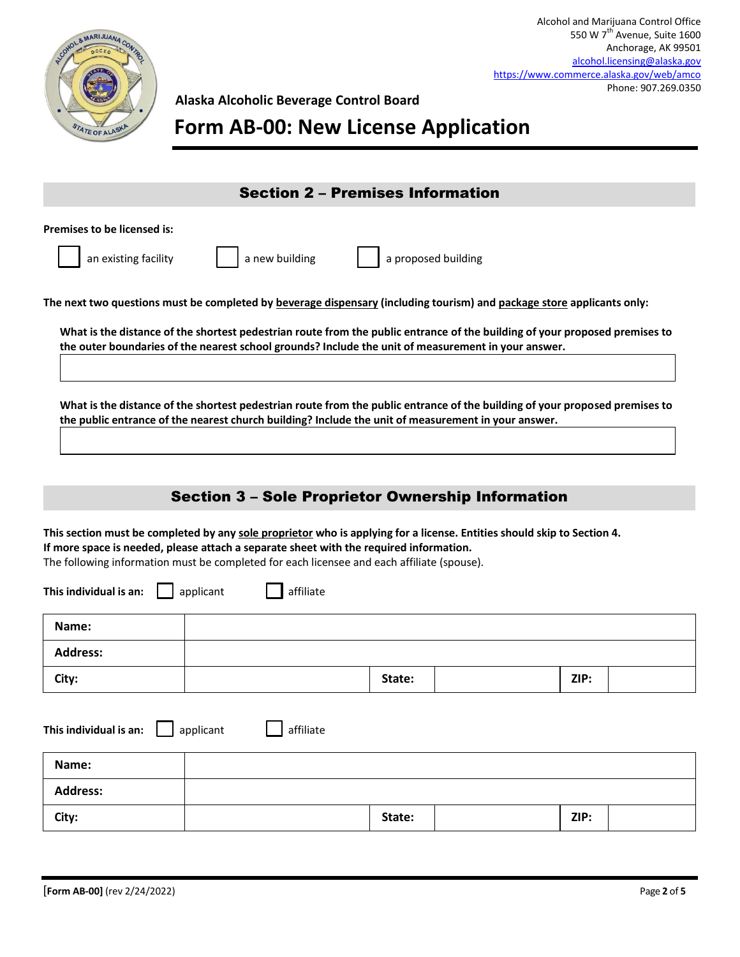

# **Form AB-00: New License Application**

| <b>Section 2 - Premises Information</b>                                                                                                                                                                                                                                                                         |
|-----------------------------------------------------------------------------------------------------------------------------------------------------------------------------------------------------------------------------------------------------------------------------------------------------------------|
| <b>Premises to be licensed is:</b><br>a proposed building<br>a new building<br>an existing facility                                                                                                                                                                                                             |
| The next two questions must be completed by <b>beverage dispensary (including tourism)</b> and package store applicants only:                                                                                                                                                                                   |
| What is the distance of the shortest pedestrian route from the public entrance of the building of your proposed premises to<br>the outer boundaries of the nearest school grounds? Include the unit of measurement in your answer.                                                                              |
| What is the distance of the shortest pedestrian route from the public entrance of the building of your proposed premises to<br>the public entrance of the nearest church building? Include the unit of measurement in your answer.                                                                              |
| <b>Section 3 - Sole Proprietor Ownership Information</b>                                                                                                                                                                                                                                                        |
|                                                                                                                                                                                                                                                                                                                 |
| This section must be completed by any sole proprietor who is applying for a license. Entities should skip to Section 4.<br>If more space is needed, please attach a separate sheet with the required information.<br>The following information must be completed for each licensee and each affiliate (spouse). |
| This individual is an:<br>affiliate<br>applicant                                                                                                                                                                                                                                                                |

| This individual is an: $\Box$ applicant<br>affiliate |  |        |      |  |  |
|------------------------------------------------------|--|--------|------|--|--|
| Name:                                                |  |        |      |  |  |
| <b>Address:</b>                                      |  |        |      |  |  |
| City:                                                |  | State: | ZIP: |  |  |

**City: State: ZIP:**

**Name:**

**Address:**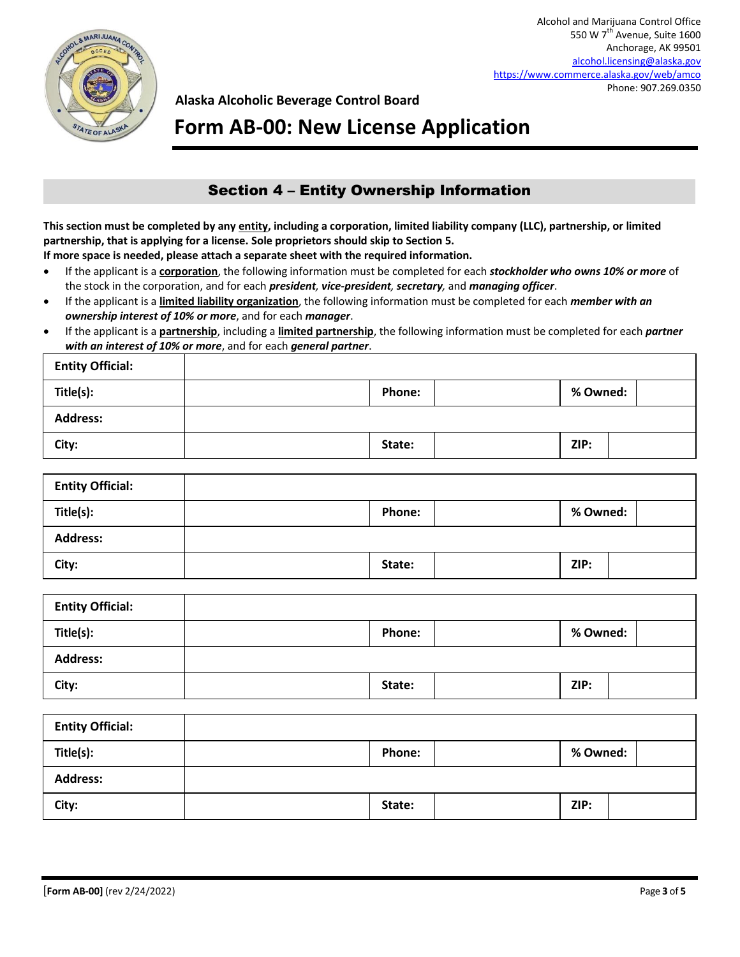

**Form AB-00: New License Application**

## Section 4 – Entity Ownership Information

**This section must be completed by any entity, including a corporation, limited liability company (LLC), partnership, or limited partnership, that is applying for a license. Sole proprietors should skip to Section 5.** 

**If more space is needed, please attach a separate sheet with the required information.** 

- If the applicant is a **corporation**, the following information must be completed for each *stockholder who owns 10% or more* of the stock in the corporation, and for each *president, vice-president, secretary,* and *managing officer*.
- If the applicant is a **limited liability organization**, the following information must be completed for each *member with an ownership interest of 10% or more*, and for each *manager*.
- If the applicant is a **partnership**, including a **limited partnership**, the following information must be completed for each *partner with an interest of 10% or more*, and for each *general partner*.

| <b>Entity Official:</b> |               |          |  |
|-------------------------|---------------|----------|--|
| Title(s):               | <b>Phone:</b> | % Owned: |  |
| <b>Address:</b>         |               |          |  |
| City:                   | State:        | ZIP:     |  |

| <b>Entity Official:</b> |               |          |  |
|-------------------------|---------------|----------|--|
| Title(s):               | <b>Phone:</b> | % Owned: |  |
| <b>Address:</b>         |               |          |  |
| City:                   | State:        | ZIP:     |  |

| <b>Entity Official:</b> |               |          |  |
|-------------------------|---------------|----------|--|
| Title(s):               | <b>Phone:</b> | % Owned: |  |
| <b>Address:</b>         |               |          |  |
| City:                   | State:        | ZIP:     |  |
|                         |               |          |  |
| <b>Entity Official:</b> |               |          |  |
|                         |               |          |  |

| Title(s):       | Phone: | % Owned: |
|-----------------|--------|----------|
| <b>Address:</b> |        |          |
| City:           | State: | ZIP:     |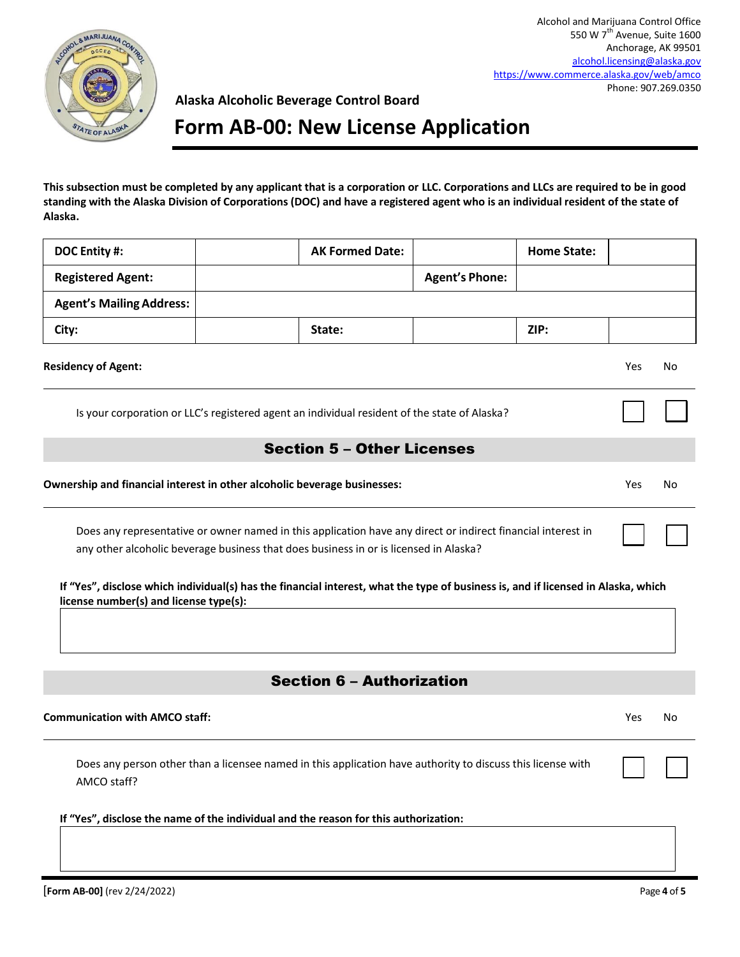

## **Form AB-00: New License Application**

**This subsection must be completed by any applicant that is a corporation or LLC. Corporations and LLCs are required to be in good standing with the Alaska Division of Corporations (DOC) and have a registered agent who is an individual resident of the state of Alaska.** 

| DOC Entity #:                                                                                                                                                                                         | <b>AK Formed Date:</b>                                                                       |                       | <b>Home State:</b> |            |    |
|-------------------------------------------------------------------------------------------------------------------------------------------------------------------------------------------------------|----------------------------------------------------------------------------------------------|-----------------------|--------------------|------------|----|
| <b>Registered Agent:</b>                                                                                                                                                                              |                                                                                              | <b>Agent's Phone:</b> |                    |            |    |
| <b>Agent's Mailing Address:</b>                                                                                                                                                                       |                                                                                              |                       |                    |            |    |
| City:                                                                                                                                                                                                 | State:                                                                                       |                       | ZIP:               |            |    |
| <b>Residency of Agent:</b>                                                                                                                                                                            |                                                                                              |                       |                    | <b>Yes</b> | No |
|                                                                                                                                                                                                       | Is your corporation or LLC's registered agent an individual resident of the state of Alaska? |                       |                    |            |    |
|                                                                                                                                                                                                       | <b>Section 5 - Other Licenses</b>                                                            |                       |                    |            |    |
| Ownership and financial interest in other alcoholic beverage businesses:                                                                                                                              |                                                                                              |                       |                    |            | No |
| Does any representative or owner named in this application have any direct or indirect financial interest in<br>any other alcoholic beverage business that does business in or is licensed in Alaska? |                                                                                              |                       |                    |            |    |

|                                        |  | If "Yes", disclose which individual(s) has the financial interest, what the type of business is, and if licensed in Alaska, which |  |
|----------------------------------------|--|-----------------------------------------------------------------------------------------------------------------------------------|--|
| license number(s) and license type(s): |  |                                                                                                                                   |  |

## Section 6 – Authorization

| <b>Communication with AMCO staff:</b>                                                                                      | Yes | No |
|----------------------------------------------------------------------------------------------------------------------------|-----|----|
| Does any person other than a licensee named in this application have authority to discuss this license with<br>AMCO staff? |     |    |
| If "Yes", disclose the name of the individual and the reason for this authorization:                                       |     |    |